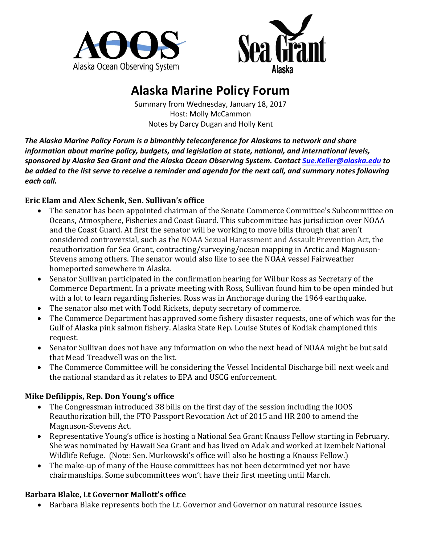



# **Alaska Marine Policy Forum**

Summary from Wednesday, January 18, 2017 Host: Molly McCammon Notes by Darcy Dugan and Holly Kent

The Alaska Marine Policy Forum is a bimonthly teleconference for Alaskans to network and share *information about marine policy, budgets, and legislation at state, national, and international levels, sponsored by Alaska Sea Grant and the Alaska Ocean Observing System. Contact Sue.Keller@alaska.edu to*  be added to the list serve to receive a reminder and agenda for the next call, and summary notes following each call.

## Eric Elam and Alex Schenk, Sen. Sullivan's office

- The senator has been appointed chairman of the Senate Commerce Committee's Subcommittee on Oceans, Atmosphere, Fisheries and Coast Guard. This subcommittee has jurisdiction over NOAA and the Coast Guard. At first the senator will be working to move bills through that aren't considered controversial, such as the NOAA Sexual Harassment and Assault Prevention Act, the reauthorization for Sea Grant, contracting/surveying/ocean mapping in Arctic and Magnuson-Stevens among others. The senator would also like to see the NOAA vessel Fairweather homeported somewhere in Alaska.
- Senator Sullivan participated in the confirmation hearing for Wilbur Ross as Secretary of the Commerce Department. In a private meeting with Ross, Sullivan found him to be open minded but with a lot to learn regarding fisheries. Ross was in Anchorage during the 1964 earthquake.
- The senator also met with Todd Rickets, deputy secretary of commerce.
- The Commerce Department has approved some fishery disaster requests, one of which was for the Gulf of Alaska pink salmon fishery. Alaska State Rep. Louise Stutes of Kodiak championed this request.
- Senator Sullivan does not have any information on who the next head of NOAA might be but said that Mead Treadwell was on the list.
- The Commerce Committee will be considering the Vessel Incidental Discharge bill next week and the national standard as it relates to EPA and USCG enforcement.

# **Mike Defilippis, Rep. Don Young's office**

- The Congressman introduced 38 bills on the first day of the session including the IOOS Reauthorization bill, the FTO Passport Revocation Act of 2015 and HR 200 to amend the Magnuson-Stevens Act.
- Representative Young's office is hosting a National Sea Grant Knauss Fellow starting in February. She was nominated by Hawaii Sea Grant and has lived on Adak and worked at Izembek National Wildlife Refuge. (Note: Sen. Murkowski's office will also be hosting a Knauss Fellow.)
- The make-up of many of the House committees has not been determined vet nor have chairmanships. Some subcommittees won't have their first meeting until March.

#### **Barbara Blake, Lt Governor Mallott's office**

• Barbara Blake represents both the Lt. Governor and Governor on natural resource issues.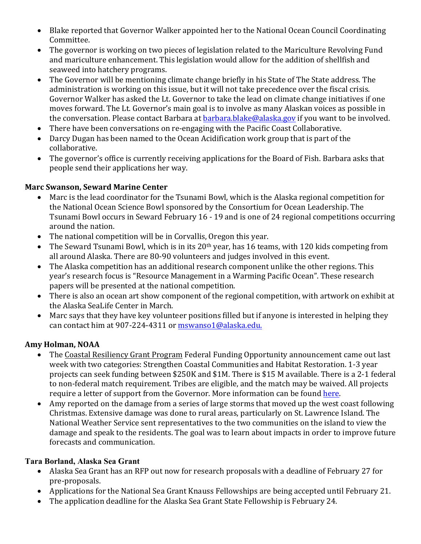- Blake reported that Governor Walker appointed her to the National Ocean Council Coordinating Committee.
- The governor is working on two pieces of legislation related to the Mariculture Revolving Fund and mariculture enhancement. This legislation would allow for the addition of shellfish and seaweed into hatchery programs.
- The Governor will be mentioning climate change briefly in his State of The State address. The administration is working on this issue, but it will not take precedence over the fiscal crisis. Governor Walker has asked the Lt. Governor to take the lead on climate change initiatives if one moves forward. The Lt. Governor's main goal is to involve as many Alaskan voices as possible in the conversation. Please contact Barbara at barbara.blake@alaska.gov if you want to be involved.
- There have been conversations on re-engaging with the Pacific Coast Collaborative.
- Darcy Dugan has been named to the Ocean Acidification work group that is part of the collaborative.
- The governor's office is currently receiving applications for the Board of Fish. Barbara asks that people send their applications her way.

## **Marc Swanson, Seward Marine Center**

- Marc is the lead coordinator for the Tsunami Bowl, which is the Alaska regional competition for the National Ocean Science Bowl sponsored by the Consortium for Ocean Leadership. The Tsunami Bowl occurs in Seward February 16 - 19 and is one of 24 regional competitions occurring around the nation.
- The national competition will be in Corvallis, Oregon this year.
- The Seward Tsunami Bowl, which is in its 20<sup>th</sup> year, has 16 teams, with 120 kids competing from all around Alaska. There are 80-90 volunteers and judges involved in this event.
- The Alaska competition has an additional research component unlike the other regions. This year's research focus is "Resource Management in a Warming Pacific Ocean". These research papers will be presented at the national competition.
- There is also an ocean art show component of the regional competition, with artwork on exhibit at the Alaska SeaLife Center in March.
- Marc says that they have key volunteer positions filled but if anyone is interested in helping they can contact him at 907-224-4311 or mswanso1@alaska.edu.

# **Amy Holman, NOAA**

- The Coastal Resiliency Grant Program Federal Funding Opportunity announcement came out last week with two categories: Strengthen Coastal Communities and Habitat Restoration. 1-3 year projects can seek funding between \$250K and \$1M. There is \$15 M available. There is a 2-1 federal to non-federal match requirement. Tribes are eligible, and the match may be waived. All projects require a letter of support from the Governor. More information can be found [here.](https://coast.noaa.gov/resilience-grant/)
- Amy reported on the damage from a series of large storms that moved up the west coast following Christmas. Extensive damage was done to rural areas, particularly on St. Lawrence Island. The National Weather Service sent representatives to the two communities on the island to view the damage and speak to the residents. The goal was to learn about impacts in order to improve future forecasts and communication.

# **Tara Borland, Alaska Sea Grant**

- Alaska Sea Grant has an RFP out now for research proposals with a deadline of February 27 for pre-proposals.
- Applications for the National Sea Grant Knauss Fellowships are being accepted until February 21.
- The application deadline for the Alaska Sea Grant State Fellowship is February 24.